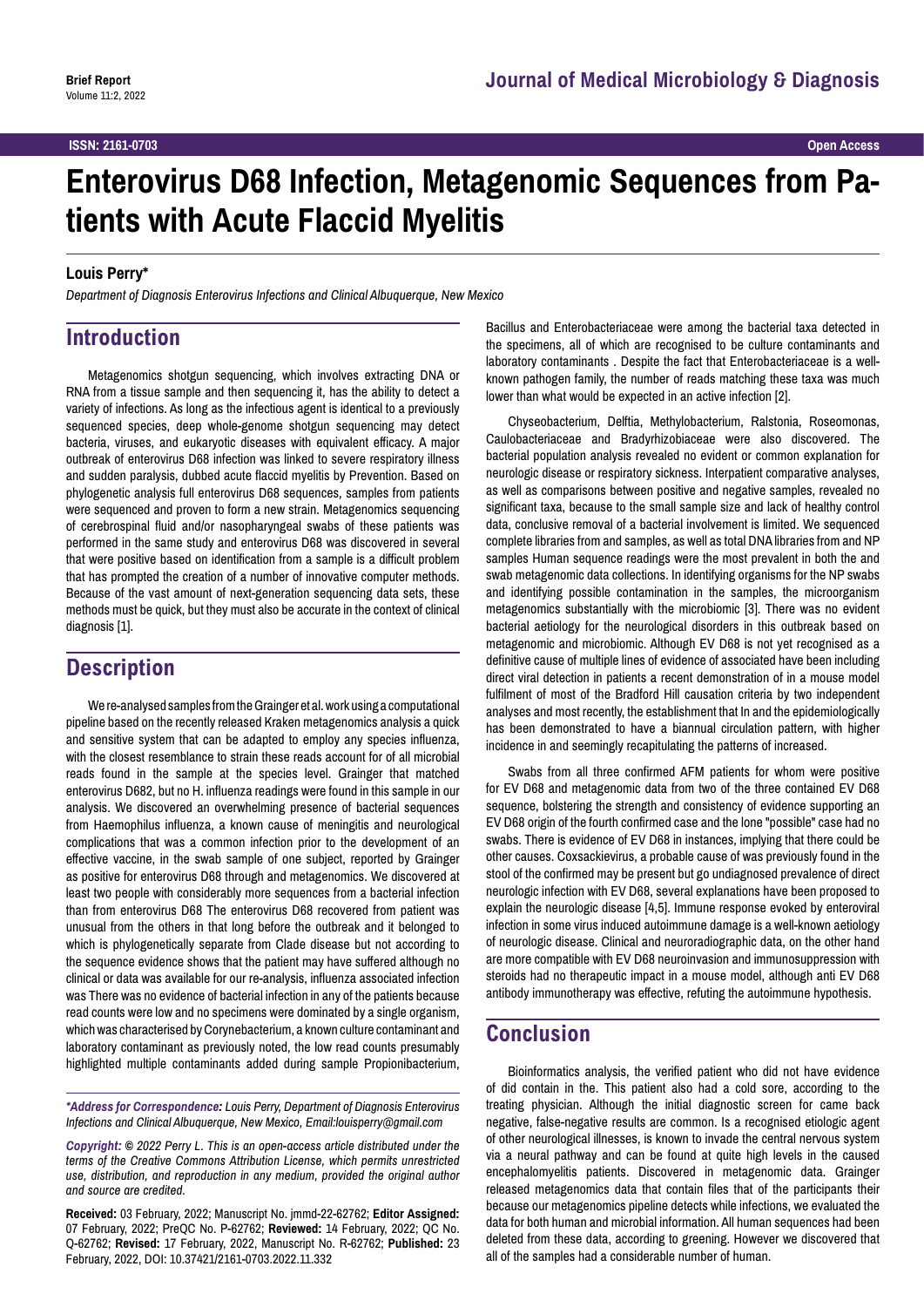# **Enterovirus D68 Infection, Metagenomic Sequences from Patients with Acute Flaccid Myelitis**

#### **Louis Perry\***

*Department of Diagnosis Enterovirus Infections and Clinical Albuquerque, New Mexico*

## **Introduction**

Metagenomics shotgun sequencing, which involves extracting DNA or RNA from a tissue sample and then sequencing it, has the ability to detect a variety of infections. As long as the infectious agent is identical to a previously sequenced species, deep whole-genome shotgun sequencing may detect bacteria, viruses, and eukaryotic diseases with equivalent efficacy. A major outbreak of enterovirus D68 infection was linked to severe respiratory illness and sudden paralysis, dubbed acute flaccid myelitis by Prevention. Based on phylogenetic analysis full enterovirus D68 sequences, samples from patients were sequenced and proven to form a new strain. Metagenomics sequencing of cerebrospinal fluid and/or nasopharyngeal swabs of these patients was performed in the same study and enterovirus D68 was discovered in several that were positive based on identification from a sample is a difficult problem that has prompted the creation of a number of innovative computer methods. Because of the vast amount of next-generation sequencing data sets, these methods must be quick, but they must also be accurate in the context of clinical diagnosis [1].

# **Description**

We re-analysed samples from the Grainger et al. work using a computational pipeline based on the recently released Kraken metagenomics analysis a quick and sensitive system that can be adapted to employ any species influenza, with the closest resemblance to strain these reads account for of all microbial reads found in the sample at the species level. Grainger that matched enterovirus D682, but no H. influenza readings were found in this sample in our analysis. We discovered an overwhelming presence of bacterial sequences from Haemophilus influenza, a known cause of meningitis and neurological complications that was a common infection prior to the development of an effective vaccine, in the swab sample of one subject, reported by Grainger as positive for enterovirus D68 through and metagenomics. We discovered at least two people with considerably more sequences from a bacterial infection than from enterovirus D68 The enterovirus D68 recovered from patient was unusual from the others in that long before the outbreak and it belonged to which is phylogenetically separate from Clade disease but not according to the sequence evidence shows that the patient may have suffered although no clinical or data was available for our re-analysis, influenza associated infection was There was no evidence of bacterial infection in any of the patients because read counts were low and no specimens were dominated by a single organism, which was characterised by Corynebacterium, a known culture contaminant and laboratory contaminant as previously noted, the low read counts presumably highlighted multiple contaminants added during sample Propionibacterium,

*\*Address for Correspondence: Louis Perry, Department of Diagnosis Enterovirus Infections and Clinical Albuquerque, New Mexico, Email:louisperry@gmail.com*

*Copyright: © 2022 Perry L. This is an open-access article distributed under the terms of the Creative Commons Attribution License, which permits unrestricted use, distribution, and reproduction in any medium, provided the original author and source are credited.*

**Received:** 03 February, 2022; Manuscript No. jmmd-22-62762; **Editor Assigned:**  07 February, 2022; PreQC No. P-62762; **Reviewed:** 14 February, 2022; QC No. Q-62762; **Revised:** 17 February, 2022, Manuscript No. R-62762; **Published:** 23 February, 2022, DOI: 10.37421/2161-0703.2022.11.332

Bacillus and Enterobacteriaceae were among the bacterial taxa detected in the specimens, all of which are recognised to be culture contaminants and laboratory contaminants . Despite the fact that Enterobacteriaceae is a wellknown pathogen family, the number of reads matching these taxa was much lower than what would be expected in an active infection [2].

Chyseobacterium, Delftia, Methylobacterium, Ralstonia, Roseomonas, Caulobacteriaceae and Bradyrhizobiaceae were also discovered. The bacterial population analysis revealed no evident or common explanation for neurologic disease or respiratory sickness. Interpatient comparative analyses, as well as comparisons between positive and negative samples, revealed no significant taxa, because to the small sample size and lack of healthy control data, conclusive removal of a bacterial involvement is limited. We sequenced complete libraries from and samples, as well as total DNA libraries from and NP samples Human sequence readings were the most prevalent in both the and swab metagenomic data collections. In identifying organisms for the NP swabs and identifying possible contamination in the samples, the microorganism metagenomics substantially with the microbiomic [3]. There was no evident bacterial aetiology for the neurological disorders in this outbreak based on metagenomic and microbiomic. Although EV D68 is not yet recognised as a definitive cause of multiple lines of evidence of associated have been including direct viral detection in patients a recent demonstration of in a mouse model fulfilment of most of the Bradford Hill causation criteria by two independent analyses and most recently, the establishment that In and the epidemiologically has been demonstrated to have a biannual circulation pattern, with higher incidence in and seemingly recapitulating the patterns of increased.

Swabs from all three confirmed AFM patients for whom were positive for EV D68 and metagenomic data from two of the three contained EV D68 sequence, bolstering the strength and consistency of evidence supporting an EV D68 origin of the fourth confirmed case and the lone "possible" case had no swabs. There is evidence of EV D68 in instances, implying that there could be other causes. Coxsackievirus, a probable cause of was previously found in the stool of the confirmed may be present but go undiagnosed prevalence of direct neurologic infection with EV D68, several explanations have been proposed to explain the neurologic disease [4,5]. Immune response evoked by enteroviral infection in some virus induced autoimmune damage is a well-known aetiology of neurologic disease. Clinical and neuroradiographic data, on the other hand are more compatible with EV D68 neuroinvasion and immunosuppression with steroids had no therapeutic impact in a mouse model, although anti EV D68 antibody immunotherapy was effective, refuting the autoimmune hypothesis.

### **Conclusion**

Bioinformatics analysis, the verified patient who did not have evidence of did contain in the. This patient also had a cold sore, according to the treating physician. Although the initial diagnostic screen for came back negative, false-negative results are common. Is a recognised etiologic agent of other neurological illnesses, is known to invade the central nervous system via a neural pathway and can be found at quite high levels in the caused encephalomyelitis patients. Discovered in metagenomic data. Grainger released metagenomics data that contain files that of the participants their because our metagenomics pipeline detects while infections, we evaluated the data for both human and microbial information. All human sequences had been deleted from these data, according to greening. However we discovered that all of the samples had a considerable number of human.